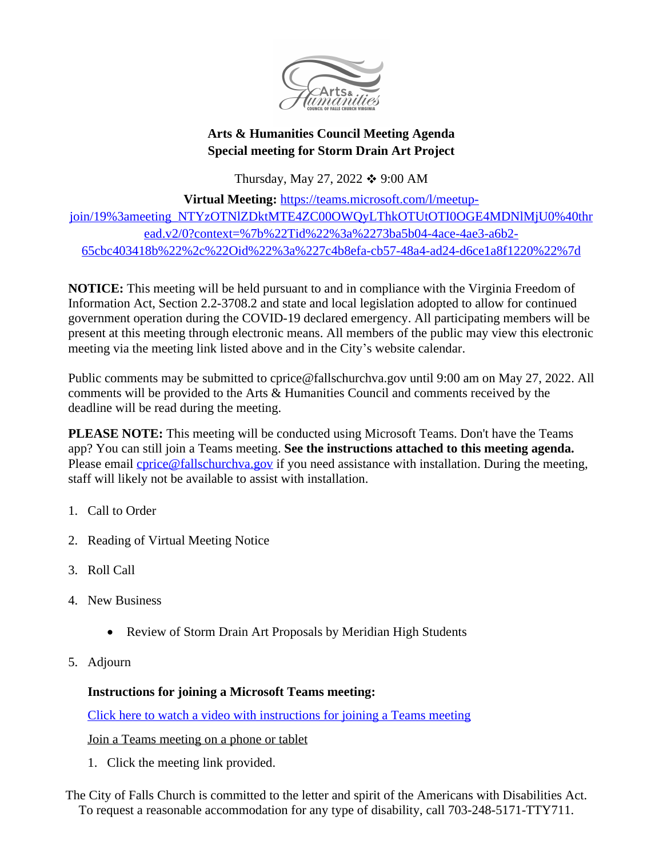

## **Arts & Humanities Council Meeting Agenda Special meeting for Storm Drain Art Project**

Thursday, May 27, 2022  $\div$  9:00 AM

**Virtual Meeting:** [https://teams.microsoft.com/l/meetup](https://teams.microsoft.com/l/meetup-join/19%3ameeting_NTYzOTNlZDktMTE4ZC00OWQyLThkOTUtOTI0OGE4MDNlMjU0%40thread.v2/0?context=%7b%22Tid%22%3a%2273ba5b04-4ace-4ae3-a6b2-65cbc403418b%22%2c%22Oid%22%3a%227c4b8efa-cb57-48a4-ad24-d6ce1a8f1220%22%7d)join/19%3ameeting\_NTYzOTNlZDktMTE4ZC00OWQyLThkOTUtOTI0OGE4MDNlMjU0%40thr ead.v2/0?context=%7b%22Tid%22%3a%2273ba5b04-4ace-4ae3-a6b2- 65cbc403418b%22%2c%22Oid%22%3a%227c4b8efa-cb57-48a4-ad24-d6ce1a8f1220%22%7d

**NOTICE:** This meeting will be held pursuant to and in compliance with the Virginia Freedom of Information Act, Section 2.2-3708.2 and state and local legislation adopted to allow for continued government operation during the COVID-19 declared emergency. All participating members will be present at this meeting through electronic means. All members of the public may view this electronic meeting via the meeting link listed above and in the City's website calendar.

Public comments may be submitted to cprice@fallschurchva.gov until 9:00 am on May 27, 2022. All comments will be provided to the Arts & Humanities Council and comments received by the deadline will be read during the meeting.

**PLEASE NOTE:** This meeting will be conducted using Microsoft Teams. Don't have the Teams app? You can still join a Teams meeting. **See the instructions attached to this meeting agenda.**  Please email *cprice@fallschurchva.gov* if you need assistance with installation. During the meeting, staff will likely not be available to assist with installation.

- 1. Call to Order
- 2. Reading of Virtual Meeting Notice
- 3. Roll Call
- 4. New Business
	- Review of Storm Drain Art Proposals by Meridian High Students
- 5. Adjourn

## **Instructions for joining a Microsoft Teams meeting:**

[Click here to watch a video with instructions for joining a Teams meeting](https://www.microsoft.com/en-us/videoplayer/embed/RE3Oz24?pid=ocpVideo0-innerdiv-oneplayer&postJsllMsg=true&maskLevel=20&market=en-us)

Join a Teams meeting on a phone or tablet

1. Click the meeting link provided.

The City of Falls Church is committed to the letter and spirit of the Americans with Disabilities Act. To request a reasonable accommodation for any type of disability, call 703-248-5171-TTY711.